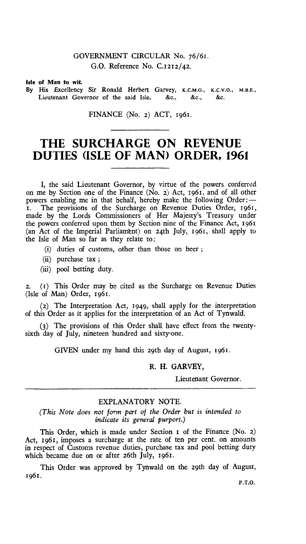## GOVERNMENT CIRCULAR No. 76/61. G.O. Reference No. C.1212/42.

Isle of Man to wit.

By His Excellency Sir Ronald Herbert Garvey, **K.C.M.G., K.C.V.O., M.B.E.,**  Lieutenant Governor of the said Isle, &c., &c., &c.

FINANCE (No. 2) ACT, 1961.

## **THE SURCHARGE ON REVENUE DUTIES (ISLE OF MAN) ORDER, 1961**

I, the said Lieutenant Governor, by virtue of the powers conferred on me by Section one of the Finance (No. 2) Act, 1961, and of all other powers enabling me in that behalf, hereby make the following Order:— I. The provisions of the Surcharge on Revenue Duties Order, 1961, made by the Lords Commissioners of Her Majesty's Treasury under the powers conferred upon them by Section nine of the Finance Act, 1961 (an Act of the Imperial Parliament) on 24th July, 1961, shall apply to the Isle of Man so far as they relate to:

- (i) duties of customs, other than those on beer ;
- (ii) purchase tax;
- (iii) pool betting duty.

2. (x) This Order may be cited as the Surcharge on Revenue Duties (Isle of Man) Order, 1961.

(2) The Interpretation Act, 1949, shall apply for the interpretation of this Order as it applies for the interpretation of an Act of Tynwald.

(3) The provisions of this Order shall have effect from the twentysixth day of July, nineteen hundred and sixty-one.

GIVEN under my hand this 29th day of August, 1961.

## R. H. GARVEY,

Lieutenant Governor.

## EXPLANATORY NOTE.

*(This Note does not form part of the Order but is intended to indicate its general purport.)* 

This Order, which is made under Section I of the Finance (No. 2) Act, 1961, imposes a surcharge at the rate of ten per cent. on amounts in respect of Customs revenue duties, purchase tax and pool betting duty which became due on or after 26th July, 1961.

This Order was approved by Tynwald on the 29th day of August, 1961.

P.T.O.